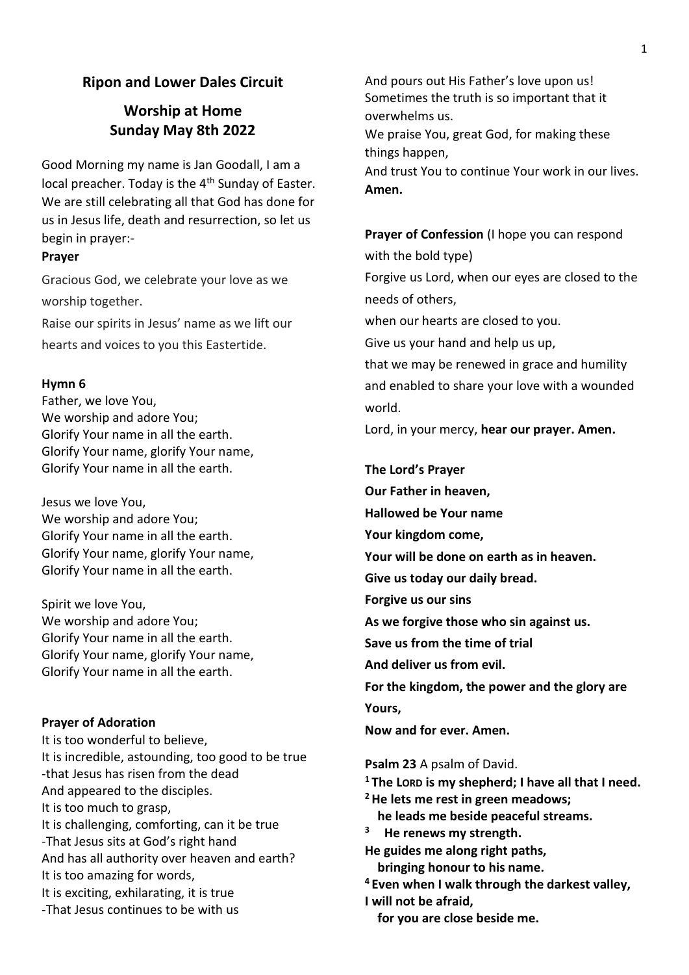# **Ripon and Lower Dales Circuit**

# **Worship at Home Sunday May 8th 2022**

Good Morning my name is Jan Goodall, I am a local preacher. Today is the 4<sup>th</sup> Sunday of Easter. We are still celebrating all that God has done for us in Jesus life, death and resurrection, so let us begin in prayer:-

### **Prayer**

Gracious God, we celebrate your love as we worship together.

Raise our spirits in Jesus' name as we lift our hearts and voices to you this Eastertide.

### **Hymn 6**

Father, we love You, We worship and adore You; Glorify Your name in all the earth. Glorify Your name, glorify Your name, Glorify Your name in all the earth.

Jesus we love You, We worship and adore You; Glorify Your name in all the earth. Glorify Your name, glorify Your name, Glorify Your name in all the earth.

Spirit we love You, We worship and adore You; Glorify Your name in all the earth. Glorify Your name, glorify Your name, Glorify Your name in all the earth.

**Prayer of Adoration** It is too wonderful to believe, It is incredible, astounding, too good to be true -that Jesus has risen from the dead And appeared to the disciples. It is too much to grasp, It is challenging, comforting, can it be true -That Jesus sits at God's right hand And has all authority over heaven and earth? It is too amazing for words, It is exciting, exhilarating, it is true -That Jesus continues to be with us

And pours out His Father's love upon us! Sometimes the truth is so important that it overwhelms us. We praise You, great God, for making these things happen, And trust You to continue Your work in our lives. **Amen.**

**Prayer of Confession** (I hope you can respond with the bold type)

Forgive us Lord, when our eyes are closed to the needs of others,

when our hearts are closed to you.

Give us your hand and help us up,

that we may be renewed in grace and humility and enabled to share your love with a wounded world.

Lord, in your mercy, **hear our prayer. Amen.**

**The Lord's Prayer Our Father in heaven, Hallowed be Your name Your kingdom come,**

**Your will be done on earth as in heaven.**

**Give us today our daily bread.**

**Forgive us our sins** 

**As we forgive those who sin against us.**

**Save us from the time of trial** 

**And deliver us from evil.**

**For the kingdom, the power and the glory are** 

**Yours,** 

**Now and for ever. Amen.**

**Psalm 23** A psalm of David.

**<sup>1</sup> The LORD is my shepherd; I have all that I need.**

**<sup>2</sup>He lets me rest in green meadows;**

 **he leads me beside peaceful streams.**

**3 He renews my strength.**

**He guides me along right paths, bringing honour to his name.**

- **<sup>4</sup> Even when I walk through the darkest valley,**
- **I will not be afraid,**

 **for you are close beside me.**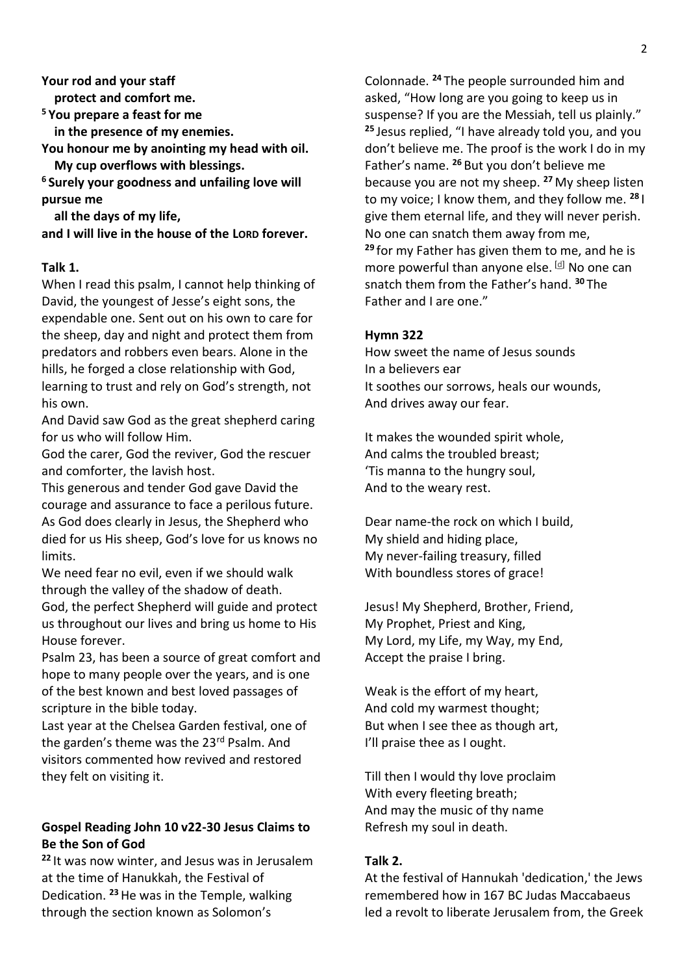**Your rod and your staff** 

 **protect and comfort me.**

**<sup>5</sup> You prepare a feast for me**

 **in the presence of my enemies.**

**You honour me by anointing my head with oil. My cup overflows with blessings.**

**<sup>6</sup> Surely your goodness and unfailing love will pursue me**

 **all the days of my life,** 

**and I will live in the house of the LORD forever.**

#### **Talk 1.**

When I read this psalm, I cannot help thinking of David, the youngest of Jesse's eight sons, the expendable one. Sent out on his own to care for the sheep, day and night and protect them from predators and robbers even bears. Alone in the hills, he forged a close relationship with God, learning to trust and rely on God's strength, not his own.

And David saw God as the great shepherd caring for us who will follow Him.

God the carer, God the reviver, God the rescuer and comforter, the lavish host.

This generous and tender God gave David the courage and assurance to face a perilous future. As God does clearly in Jesus, the Shepherd who died for us His sheep, God's love for us knows no limits.

We need fear no evil, even if we should walk through the valley of the shadow of death. God, the perfect Shepherd will guide and protect us throughout our lives and bring us home to His House forever.

Psalm 23, has been a source of great comfort and hope to many people over the years, and is one of the best known and best loved passages of scripture in the bible today.

Last year at the Chelsea Garden festival, one of the garden's theme was the 23<sup>rd</sup> Psalm. And visitors commented how revived and restored they felt on visiting it.

# **Gospel Reading John 10 v22-30 Jesus Claims to Be the Son of God**

**<sup>22</sup>** It was now winter, and Jesus was in Jerusalem at the time of Hanukkah, the Festival of Dedication. **<sup>23</sup>**He was in the Temple, walking through the section known as Solomon's

Colonnade. **<sup>24</sup>** The people surrounded him and asked, "How long are you going to keep us in suspense? If you are the Messiah, tell us plainly." **<sup>25</sup>** Jesus replied, "I have already told you, and you don't believe me. The proof is the work I do in my Father's name. **<sup>26</sup>** But you don't believe me because you are not my sheep. **<sup>27</sup>** My sheep listen to my voice; I know them, and they follow me. **<sup>28</sup>** I give them eternal life, and they will never perish. No one can snatch them away from me,

**<sup>29</sup>** for my Father has given them to me, and he is more powerful than anyone else. [\[d\]](https://www.biblegateway.com/passage/?search=John+10&version=NLT#fen-NLT-26476d) No one can snatch them from the Father's hand. **<sup>30</sup>** The Father and I are one."

#### **Hymn 322**

How sweet the name of Jesus sounds In a believers ear It soothes our sorrows, heals our wounds, And drives away our fear.

It makes the wounded spirit whole, And calms the troubled breast; 'Tis manna to the hungry soul, And to the weary rest.

Dear name-the rock on which I build, My shield and hiding place, My never-failing treasury, filled With boundless stores of grace!

Jesus! My Shepherd, Brother, Friend, My Prophet, Priest and King, My Lord, my Life, my Way, my End, Accept the praise I bring.

Weak is the effort of my heart, And cold my warmest thought; But when I see thee as though art, I'll praise thee as I ought.

Till then I would thy love proclaim With every fleeting breath; And may the music of thy name Refresh my soul in death.

#### **Talk 2.**

At the festival of Hannukah 'dedication,' the Jews remembered how in 167 BC Judas Maccabaeus led a revolt to liberate Jerusalem from, the Greek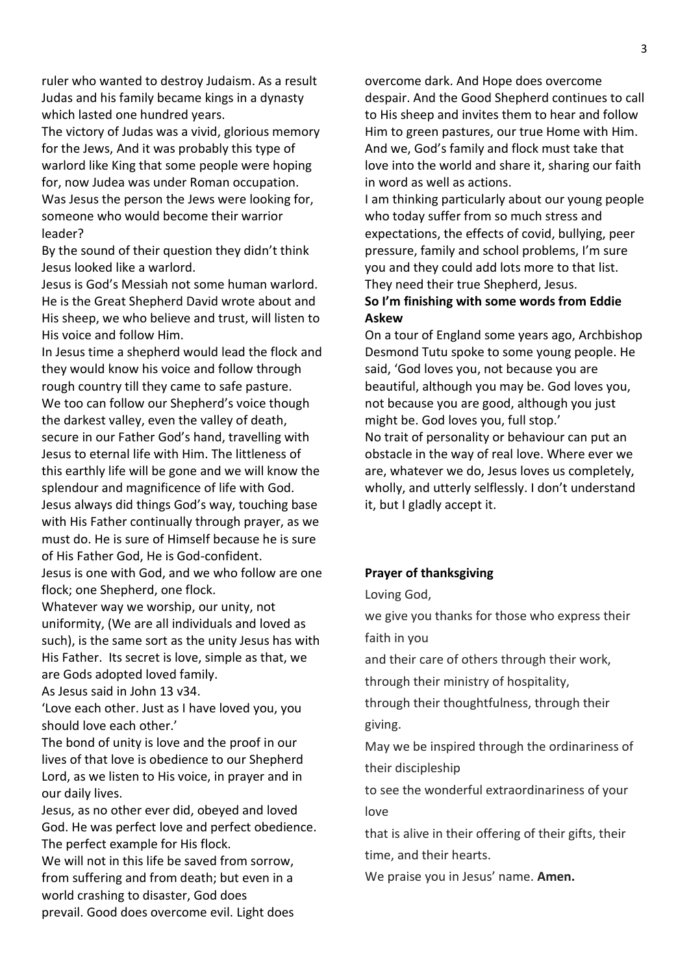ruler who wanted to destroy Judaism. As a result Judas and his family became kings in a dynasty which lasted one hundred years.

The victory of Judas was a vivid, glorious memory for the Jews, And it was probably this type of warlord like King that some people were hoping for, now Judea was under Roman occupation. Was Jesus the person the Jews were looking for, someone who would become their warrior leader?

By the sound of their question they didn't think Jesus looked like a warlord.

Jesus is God's Messiah not some human warlord. He is the Great Shepherd David wrote about and His sheep, we who believe and trust, will listen to His voice and follow Him.

In Jesus time a shepherd would lead the flock and they would know his voice and follow through rough country till they came to safe pasture. We too can follow our Shepherd's voice though the darkest valley, even the valley of death, secure in our Father God's hand, travelling with Jesus to eternal life with Him. The littleness of this earthly life will be gone and we will know the splendour and magnificence of life with God. Jesus always did things God's way, touching base with His Father continually through prayer, as we must do. He is sure of Himself because he is sure of His Father God, He is God-confident.

Jesus is one with God, and we who follow are one flock; one Shepherd, one flock.

Whatever way we worship, our unity, not uniformity, (We are all individuals and loved as such), is the same sort as the unity Jesus has with His Father. Its secret is love, simple as that, we are Gods adopted loved family.

As Jesus said in John 13 v34.

'Love each other. Just as I have loved you, you should love each other.'

The bond of unity is love and the proof in our lives of that love is obedience to our Shepherd Lord, as we listen to His voice, in prayer and in our daily lives.

Jesus, as no other ever did, obeyed and loved God. He was perfect love and perfect obedience. The perfect example for His flock.

We will not in this life be saved from sorrow, from suffering and from death; but even in a world crashing to disaster, God does prevail. Good does overcome evil. Light does overcome dark. And Hope does overcome despair. And the Good Shepherd continues to call to His sheep and invites them to hear and follow Him to green pastures, our true Home with Him. And we, God's family and flock must take that love into the world and share it, sharing our faith in word as well as actions.

I am thinking particularly about our young people who today suffer from so much stress and expectations, the effects of covid, bullying, peer pressure, family and school problems, I'm sure you and they could add lots more to that list. They need their true Shepherd, Jesus.

# **So I'm finishing with some words from Eddie Askew**

On a tour of England some years ago, Archbishop Desmond Tutu spoke to some young people. He said, 'God loves you, not because you are beautiful, although you may be. God loves you, not because you are good, although you just might be. God loves you, full stop.'

No trait of personality or behaviour can put an obstacle in the way of real love. Where ever we are, whatever we do, Jesus loves us completely, wholly, and utterly selflessly. I don't understand it, but I gladly accept it.

## **Prayer of thanksgiving**

Loving God,

we give you thanks for those who express their faith in you

and their care of others through their work,

through their ministry of hospitality,

through their thoughtfulness, through their giving.

May we be inspired through the ordinariness of their discipleship

to see the wonderful extraordinariness of your love

that is alive in their offering of their gifts, their time, and their hearts.

We praise you in Jesus' name. **Amen.**